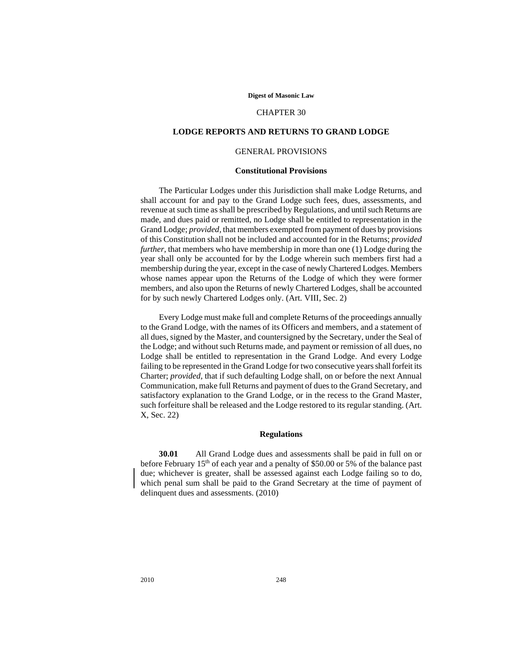#### **Digest of Masonic Law**

# CHAPTER 30

### **LODGE REPORTS AND RETURNS TO GRAND LODGE**

# GENERAL PROVISIONS

### **Constitutional Provisions**

The Particular Lodges under this Jurisdiction shall make Lodge Returns, and shall account for and pay to the Grand Lodge such fees, dues, assessments, and revenue at such time as shall be prescribed by Regulations, and until such Returns are made, and dues paid or remitted, no Lodge shall be entitled to representation in the Grand Lodge; *provided,* that members exempted from payment of dues by provisions of this Constitution shall not be included and accounted for in the Returns; *provided further,* that members who have membership in more than one (1) Lodge during the year shall only be accounted for by the Lodge wherein such members first had a membership during the year, except in the case of newly Chartered Lodges. Members whose names appear upon the Returns of the Lodge of which they were former members, and also upon the Returns of newly Chartered Lodges, shall be accounted for by such newly Chartered Lodges only. (Art. VIII, Sec. 2)

Every Lodge must make full and complete Returns of the proceedings annually to the Grand Lodge, with the names of its Officers and members, and a statement of all dues, signed by the Master, and countersigned by the Secretary, under the Seal of the Lodge; and without such Returns made, and payment or remission of all dues, no Lodge shall be entitled to representation in the Grand Lodge. And every Lodge failing to be represented in the Grand Lodge for two consecutive years shall forfeit its Charter; *provided,* that if such defaulting Lodge shall, on or before the next Annual Communication, make full Returns and payment of dues to the Grand Secretary, and satisfactory explanation to the Grand Lodge, or in the recess to the Grand Master, such forfeiture shall be released and the Lodge restored to its regular standing. (Art. X, Sec. 22)

# **Regulations**

**30.01** All Grand Lodge dues and assessments shall be paid in full on or before February  $15<sup>th</sup>$  of each year and a penalty of \$50.00 or 5% of the balance past due; whichever is greater, shall be assessed against each Lodge failing so to do, which penal sum shall be paid to the Grand Secretary at the time of payment of delinquent dues and assessments. (2010)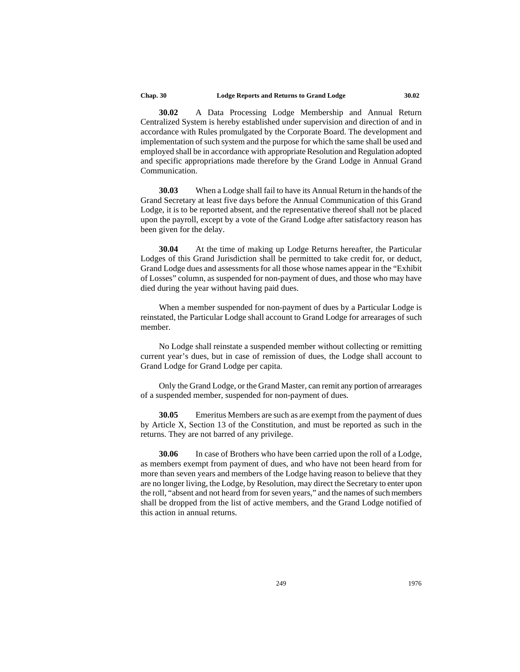**30.02** A Data Processing Lodge Membership and Annual Return Centralized System is hereby established under supervision and direction of and in accordance with Rules promulgated by the Corporate Board. The development and implementation of such system and the purpose for which the same shall be used and employed shall be in accordance with appropriate Resolution and Regulation adopted and specific appropriations made therefore by the Grand Lodge in Annual Grand Communication.

**30.03** When a Lodge shall fail to have its Annual Return in the hands of the Grand Secretary at least five days before the Annual Communication of this Grand Lodge, it is to be reported absent, and the representative thereof shall not be placed upon the payroll, except by a vote of the Grand Lodge after satisfactory reason has been given for the delay.

**30.04** At the time of making up Lodge Returns hereafter, the Particular Lodges of this Grand Jurisdiction shall be permitted to take credit for, or deduct, Grand Lodge dues and assessments for all those whose names appear in the "Exhibit of Losses" column, as suspended for non-payment of dues, and those who may have died during the year without having paid dues.

When a member suspended for non-payment of dues by a Particular Lodge is reinstated, the Particular Lodge shall account to Grand Lodge for arrearages of such member.

No Lodge shall reinstate a suspended member without collecting or remitting current year's dues, but in case of remission of dues, the Lodge shall account to Grand Lodge for Grand Lodge per capita.

Only the Grand Lodge, or the Grand Master, can remit any portion of arrearages of a suspended member, suspended for non-payment of dues.

**30.05** Emeritus Members are such as are exempt from the payment of dues by Article X, Section 13 of the Constitution, and must be reported as such in the returns. They are not barred of any privilege.

**30.06** In case of Brothers who have been carried upon the roll of a Lodge, as members exempt from payment of dues, and who have not been heard from for more than seven years and members of the Lodge having reason to believe that they are no longer living, the Lodge, by Resolution, may direct the Secretary to enter upon the roll, "absent and not heard from for seven years," and the names of such members shall be dropped from the list of active members, and the Grand Lodge notified of this action in annual returns.